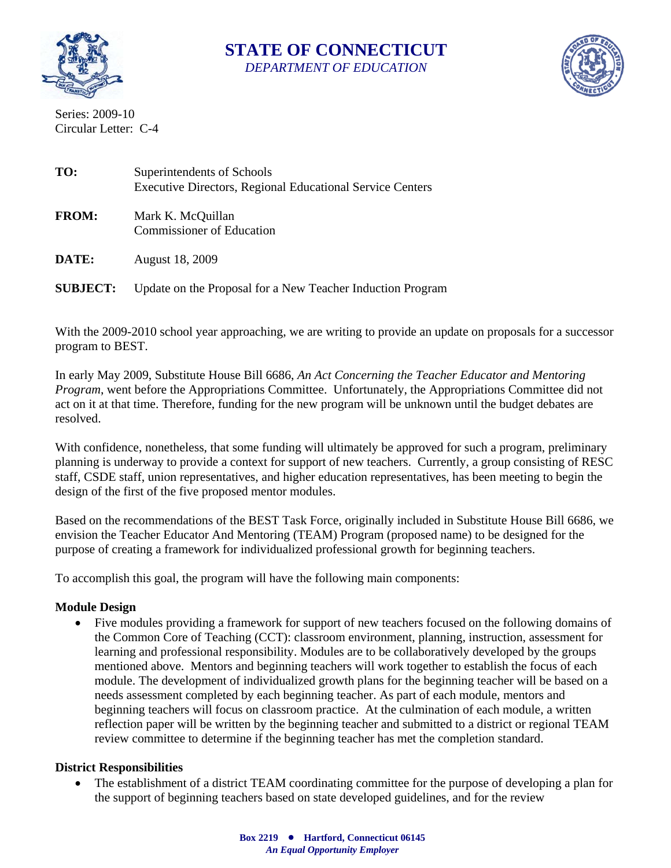

# **STATE OF CONNECTICUT**  *DEPARTMENT OF EDUCATION*



Series: 2009-10 Circular Letter: C-4

| TO:          | Superintendents of Schools<br><b>Executive Directors, Regional Educational Service Centers</b> |
|--------------|------------------------------------------------------------------------------------------------|
| <b>FROM:</b> | Mark K. McQuillan<br><b>Commissioner of Education</b>                                          |
| DATE:        | August 18, 2009                                                                                |

**SUBJECT:** Update on the Proposal for a New Teacher Induction Program

With the 2009-2010 school year approaching, we are writing to provide an update on proposals for a successor program to BEST.

In early May 2009, Substitute House Bill 6686, *An Act Concerning the Teacher Educator and Mentoring Program*, went before the Appropriations Committee. Unfortunately, the Appropriations Committee did not act on it at that time. Therefore, funding for the new program will be unknown until the budget debates are resolved.

With confidence, nonetheless, that some funding will ultimately be approved for such a program, preliminary planning is underway to provide a context for support of new teachers. Currently, a group consisting of RESC staff, CSDE staff, union representatives, and higher education representatives, has been meeting to begin the design of the first of the five proposed mentor modules.

Based on the recommendations of the BEST Task Force, originally included in Substitute House Bill 6686, we envision the Teacher Educator And Mentoring (TEAM) Program (proposed name) to be designed for the purpose of creating a framework for individualized professional growth for beginning teachers.

To accomplish this goal, the program will have the following main components:

## **Module Design**

• Five modules providing a framework for support of new teachers focused on the following domains of the Common Core of Teaching (CCT): classroom environment, planning, instruction, assessment for learning and professional responsibility. Modules are to be collaboratively developed by the groups mentioned above. Mentors and beginning teachers will work together to establish the focus of each module. The development of individualized growth plans for the beginning teacher will be based on a needs assessment completed by each beginning teacher. As part of each module, mentors and beginning teachers will focus on classroom practice. At the culmination of each module, a written reflection paper will be written by the beginning teacher and submitted to a district or regional TEAM review committee to determine if the beginning teacher has met the completion standard.

## **District Responsibilities**

• The establishment of a district TEAM coordinating committee for the purpose of developing a plan for the support of beginning teachers based on state developed guidelines, and for the review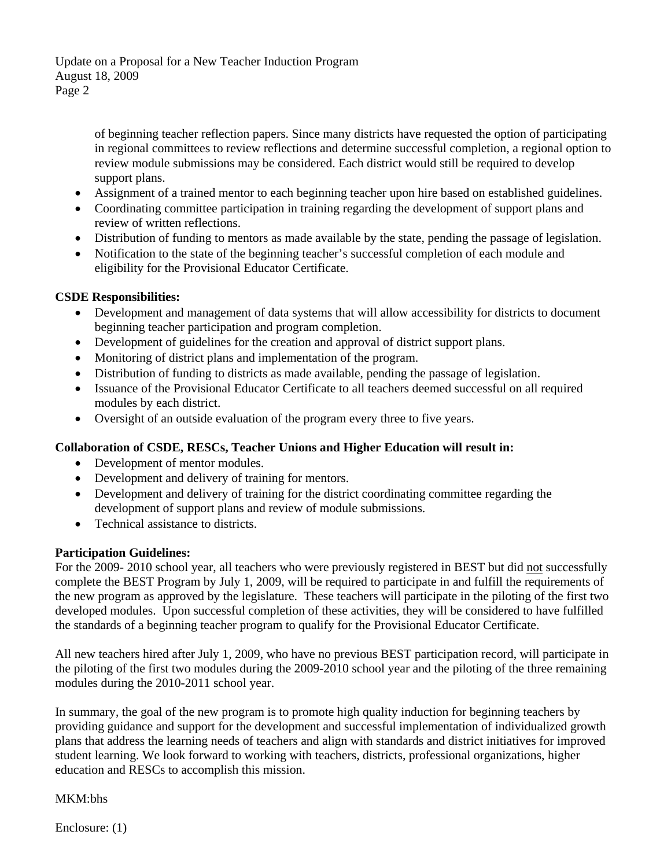Update on a Proposal for a New Teacher Induction Program August 18, 2009 Page 2

> of beginning teacher reflection papers. Since many districts have requested the option of participating in regional committees to review reflections and determine successful completion, a regional option to review module submissions may be considered. Each district would still be required to develop support plans.

- Assignment of a trained mentor to each beginning teacher upon hire based on established guidelines.
- Coordinating committee participation in training regarding the development of support plans and review of written reflections.
- Distribution of funding to mentors as made available by the state, pending the passage of legislation.
- Notification to the state of the beginning teacher's successful completion of each module and eligibility for the Provisional Educator Certificate.

## **CSDE Responsibilities:**

- Development and management of data systems that will allow accessibility for districts to document beginning teacher participation and program completion.
- Development of guidelines for the creation and approval of district support plans.
- Monitoring of district plans and implementation of the program.
- Distribution of funding to districts as made available, pending the passage of legislation.
- Issuance of the Provisional Educator Certificate to all teachers deemed successful on all required modules by each district.
- Oversight of an outside evaluation of the program every three to five years.

### **Collaboration of CSDE, RESCs, Teacher Unions and Higher Education will result in:**

- Development of mentor modules.
- Development and delivery of training for mentors.
- Development and delivery of training for the district coordinating committee regarding the development of support plans and review of module submissions.
- Technical assistance to districts.

### **Participation Guidelines:**

For the 2009- 2010 school year, all teachers who were previously registered in BEST but did not successfully complete the BEST Program by July 1, 2009, will be required to participate in and fulfill the requirements of the new program as approved by the legislature. These teachers will participate in the piloting of the first two developed modules. Upon successful completion of these activities, they will be considered to have fulfilled the standards of a beginning teacher program to qualify for the Provisional Educator Certificate.

All new teachers hired after July 1, 2009, who have no previous BEST participation record, will participate in the piloting of the first two modules during the 2009-2010 school year and the piloting of the three remaining modules during the 2010-2011 school year.

In summary, the goal of the new program is to promote high quality induction for beginning teachers by providing guidance and support for the development and successful implementation of individualized growth plans that address the learning needs of teachers and align with standards and district initiatives for improved student learning. We look forward to working with teachers, districts, professional organizations, higher education and RESCs to accomplish this mission.

### MKM:bhs

Enclosure: (1)